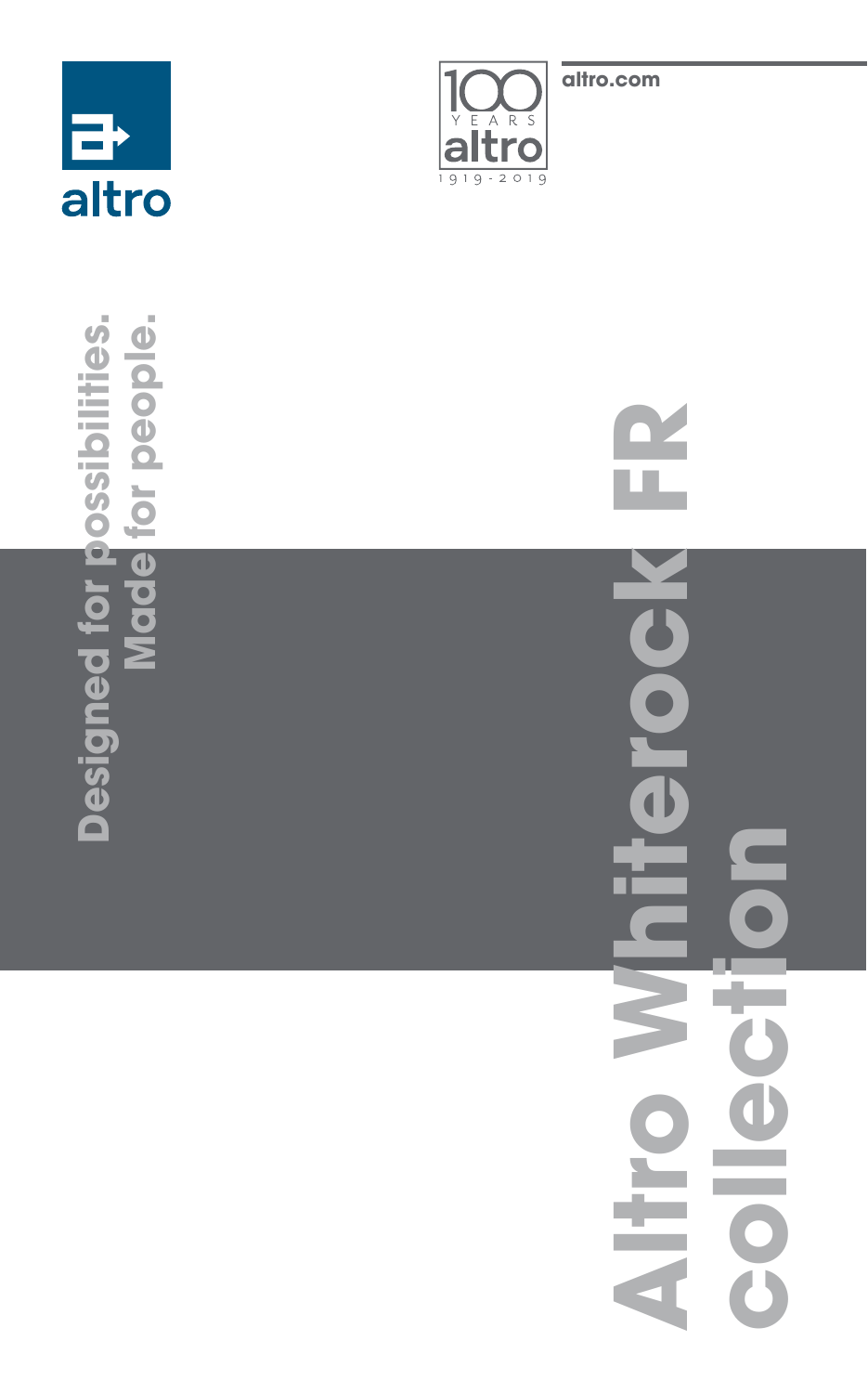



**altro.com**

## **Altro Whiterock FR**  $\Box$ ш. **DO**  $\overline{\textbf{d}}$ **collection** Ż) J Ē

**Designed for possibilities.** for people. **Made for people. Designed for possibilities.** OOC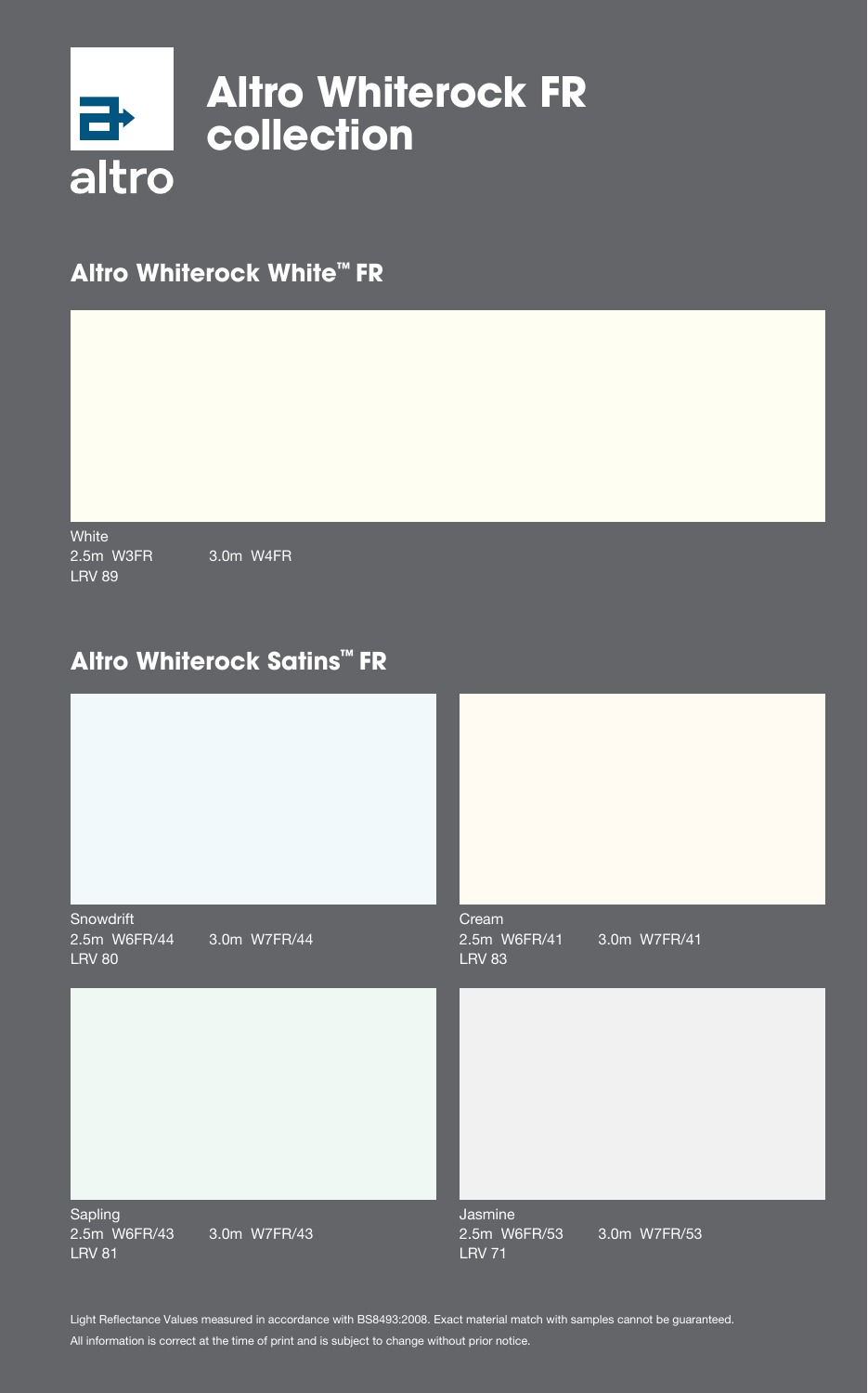

## **Altro Whiterock White™ FR**

**White** 2.5m W3FR 3.0m W4FR LRV 89

## **Altro Whiterock Satins™ FR**

| Allie Willie De Neuillie Tix               |              |  |                                          |              |  |  |
|--------------------------------------------|--------------|--|------------------------------------------|--------------|--|--|
|                                            |              |  |                                          |              |  |  |
| Snowdrift<br>2.5m W6FR/44<br><b>LRV 80</b> | 3.0m W7FR/44 |  | Cream<br>2.5m W6FR/41<br><b>LRV 83</b>   | 3.0m W7FR/41 |  |  |
|                                            |              |  |                                          |              |  |  |
| Sapling<br>2.5m W6FR/43<br><b>LRV 81</b>   | 3.0m W7FR/43 |  | Jasmine<br>2.5m W6FR/53<br><b>LRV 71</b> | 3.0m W7FR/53 |  |  |

Light Reflectance Values measured in accordance with BS8493:2008. Exact material match with samples cannot be guaranteed. All information is correct at the time of print and is subject to change without prior notice.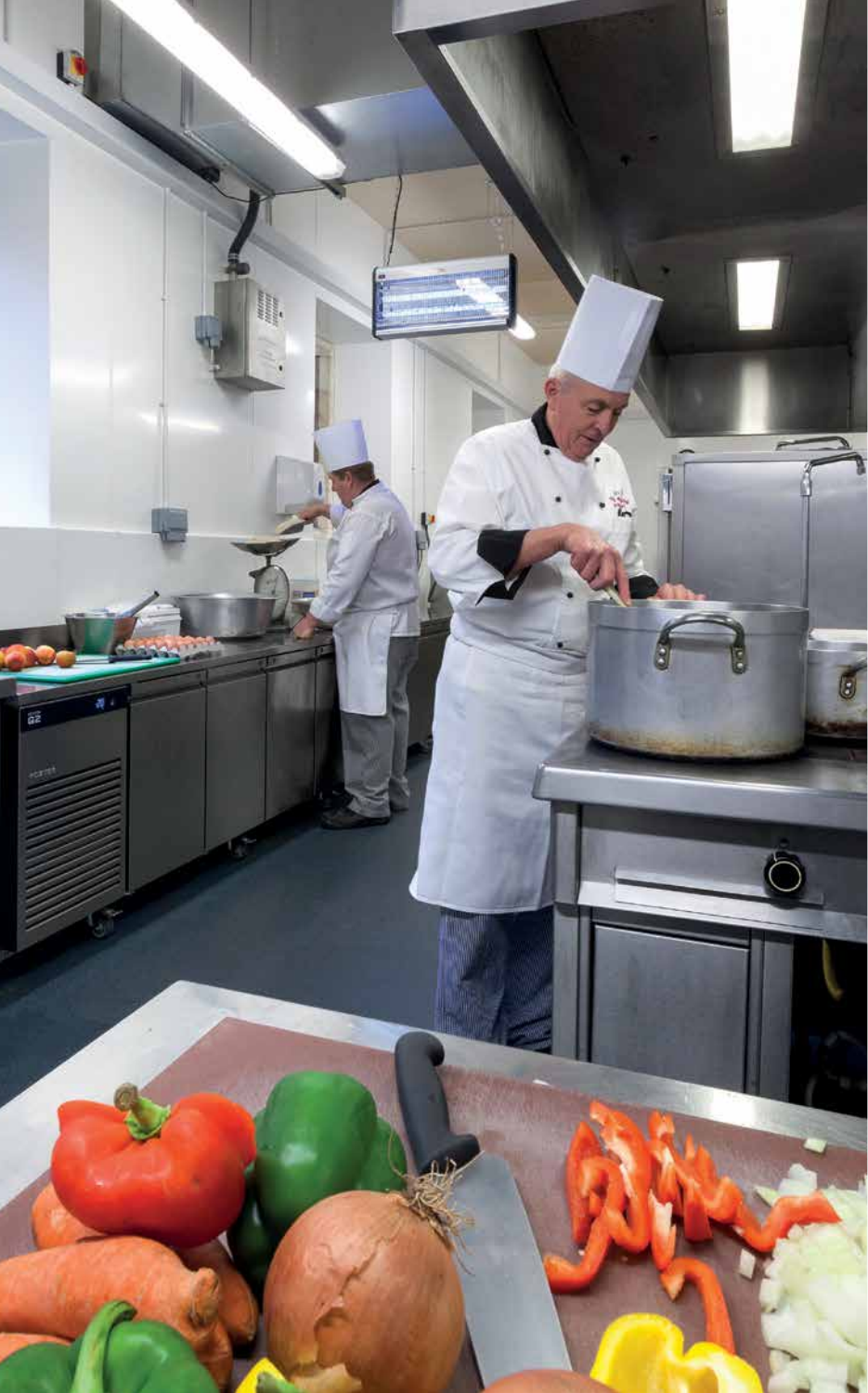